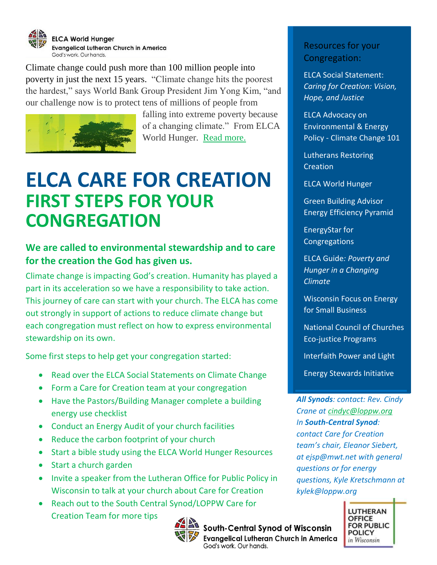

[Climate change could push more than 100 million people into](http://www.un.org/apps/news/story.asp?NewsID=52491#.VlSj-EZBAuU)  [poverty in just the next 15 years.](http://www.un.org/apps/news/story.asp?NewsID=52491#.VlSj-EZBAuU) "Climate change hits the poorest the hardest," says World Bank Group President Jim Yong Kim, "and our challenge now is to protect tens of millions of people from



falling into extreme poverty because of a changing climate." From ELCA World Hunger. [Read more.](http://blogs.elca.org/worldhunger/three-ways-the-poor-and-communities-of-faith-are-leading-the-way-on-climate-change/)

# **ELCA CARE FOR CREATION FIRST STEPS FOR YOUR CONGREGATION**

## **We are called to environmental stewardship and to care for the creation the God has given us.**

Climate change is impacting God's creation. Humanity has played a part in its acceleration so we have a responsibility to take action. This journey of care can start with your church. The ELCA has come out strongly in support of actions to reduce climate change but each congregation must reflect on how to express environmental stewardship on its own.

Some first steps to help get your congregation started:

- Read over the ELCA Social Statements on Climate Change
- Form a Care for Creation team at your congregation
- Have the Pastors/Building Manager complete a building energy use checklist
- Conduct an Energy Audit of your church facilities
- Reduce the carbon footprint of your church
- Start a bible study using the ELCA World Hunger Resources
- Start a church garden
- Invite a speaker from the Lutheran Office for Public Policy in Wisconsin to talk at your church about Care for Creation
- Reach out to the South Central Synod/LOPPW Care for Creation Team for more tips



# South-Central Synod of Wisconsin

Evangelical Lutheran Church in America

God's work. Our hands.

Resources for your Congregation:

ELCA Social Statement: *Caring for Creation: Vision, Hope, and Justice*

ELCA Advocacy on Environmental & Energy Policy - Climate Change 101

Lutherans Restoring **Creation** 

ELCA World Hunger

Green Building Advisor Energy Efficiency Pyramid

EnergyStar for **Congregations** 

ELCA Guide*: Poverty and Hunger in a Changing Climate*

Wisconsin Focus on Energy for Small Business

National Council of Churches Eco-justice Programs

Interfaith Power and Light

Energy Stewards Initiative

*All Synods: contact: Rev. Cindy Crane at [cindyc@loppw.org](mailto:cindyc@loppw.org) In South-Central Synod: contact Care for Creation team's chair, Eleanor Siebert, at ejsp@mwt.net with general questions or for energy questions, Kyle Kretschmann at kylek@loppw.org*